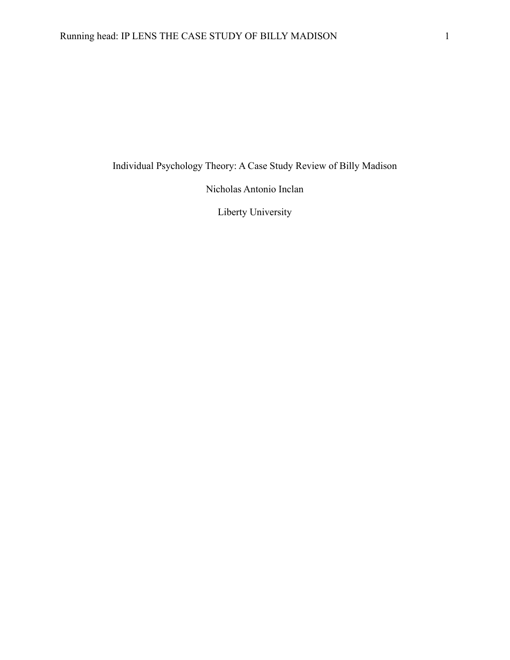Individual Psychology Theory: A Case Study Review of Billy Madison

Nicholas Antonio Inclan

Liberty University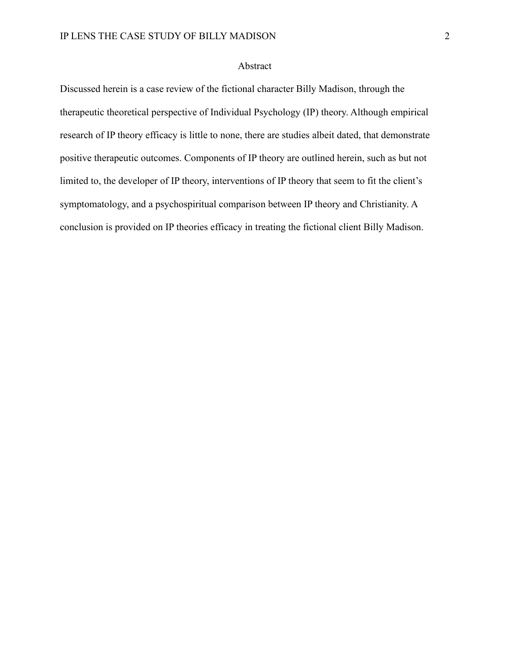# Abstract

Discussed herein is a case review of the fictional character Billy Madison, through the therapeutic theoretical perspective of Individual Psychology (IP) theory. Although empirical research of IP theory efficacy is little to none, there are studies albeit dated, that demonstrate positive therapeutic outcomes. Components of IP theory are outlined herein, such as but not limited to, the developer of IP theory, interventions of IP theory that seem to fit the client's symptomatology, and a psychospiritual comparison between IP theory and Christianity. A conclusion is provided on IP theories efficacy in treating the fictional client Billy Madison.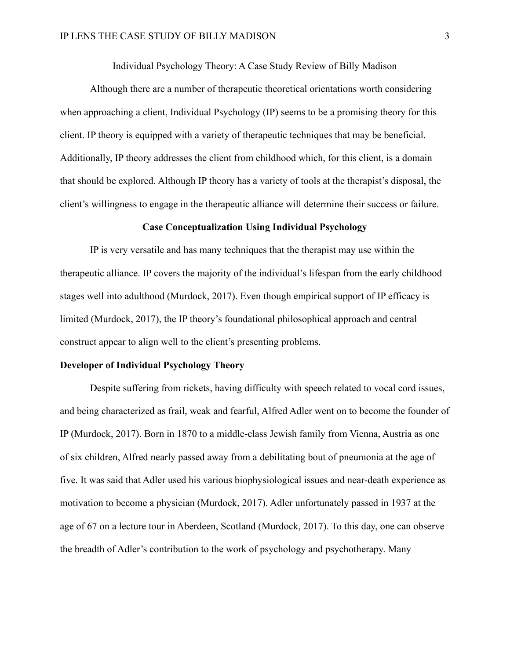Individual Psychology Theory: A Case Study Review of Billy Madison

Although there are a number of therapeutic theoretical orientations worth considering when approaching a client, Individual Psychology (IP) seems to be a promising theory for this client. IP theory is equipped with a variety of therapeutic techniques that may be beneficial. Additionally, IP theory addresses the client from childhood which, for this client, is a domain that should be explored. Although IP theory has a variety of tools at the therapist's disposal, the client's willingness to engage in the therapeutic alliance will determine their success or failure.

### **Case Conceptualization Using Individual Psychology**

IP is very versatile and has many techniques that the therapist may use within the therapeutic alliance. IP covers the majority of the individual's lifespan from the early childhood stages well into adulthood (Murdock, 2017). Even though empirical support of IP efficacy is limited (Murdock, 2017), the IP theory's foundational philosophical approach and central construct appear to align well to the client's presenting problems.

#### **Developer of Individual Psychology Theory**

Despite suffering from rickets, having difficulty with speech related to vocal cord issues, and being characterized as frail, weak and fearful, Alfred Adler went on to become the founder of IP (Murdock, 2017). Born in 1870 to a middle-class Jewish family from Vienna, Austria as one of six children, Alfred nearly passed away from a debilitating bout of pneumonia at the age of five. It was said that Adler used his various biophysiological issues and near-death experience as motivation to become a physician (Murdock, 2017). Adler unfortunately passed in 1937 at the age of 67 on a lecture tour in Aberdeen, Scotland (Murdock, 2017). To this day, one can observe the breadth of Adler's contribution to the work of psychology and psychotherapy. Many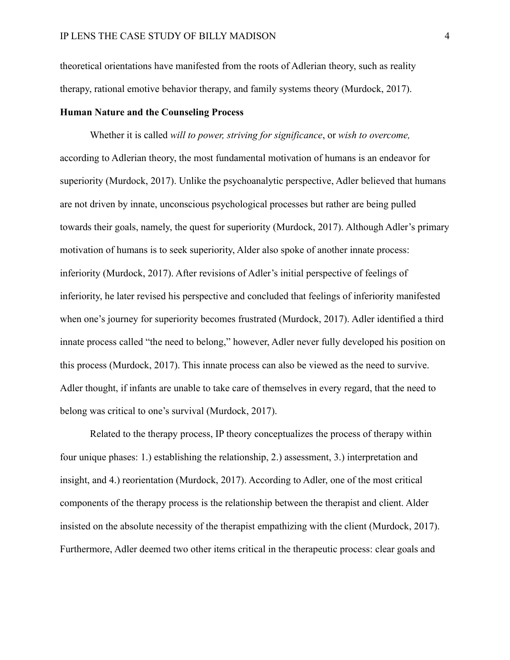theoretical orientations have manifested from the roots of Adlerian theory, such as reality therapy, rational emotive behavior therapy, and family systems theory (Murdock, 2017).

### **Human Nature and the Counseling Process**

Whether it is called *will to power, striving for significance*, or *wish to overcome,* according to Adlerian theory, the most fundamental motivation of humans is an endeavor for superiority (Murdock, 2017). Unlike the psychoanalytic perspective, Adler believed that humans are not driven by innate, unconscious psychological processes but rather are being pulled towards their goals, namely, the quest for superiority (Murdock, 2017). Although Adler's primary motivation of humans is to seek superiority, Alder also spoke of another innate process: inferiority (Murdock, 2017). After revisions of Adler's initial perspective of feelings of inferiority, he later revised his perspective and concluded that feelings of inferiority manifested when one's journey for superiority becomes frustrated (Murdock, 2017). Adler identified a third innate process called "the need to belong," however, Adler never fully developed his position on this process (Murdock, 2017). This innate process can also be viewed as the need to survive. Adler thought, if infants are unable to take care of themselves in every regard, that the need to belong was critical to one's survival (Murdock, 2017).

Related to the therapy process, IP theory conceptualizes the process of therapy within four unique phases: 1.) establishing the relationship, 2.) assessment, 3.) interpretation and insight, and 4.) reorientation (Murdock, 2017). According to Adler, one of the most critical components of the therapy process is the relationship between the therapist and client. Alder insisted on the absolute necessity of the therapist empathizing with the client (Murdock, 2017). Furthermore, Adler deemed two other items critical in the therapeutic process: clear goals and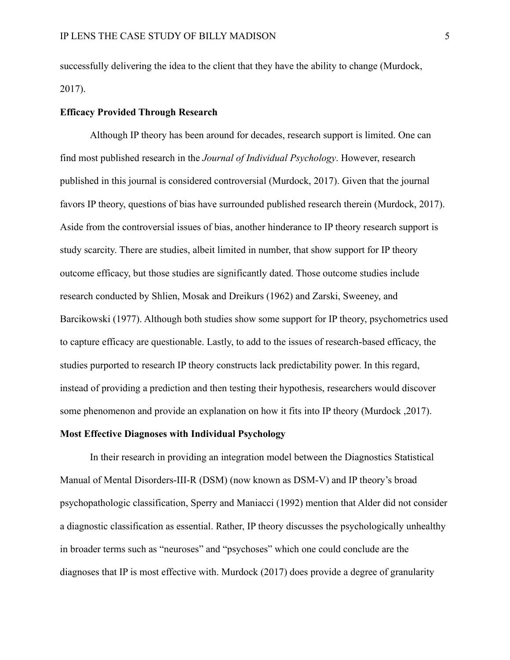successfully delivering the idea to the client that they have the ability to change (Murdock, 2017).

# **Efficacy Provided Through Research**

Although IP theory has been around for decades, research support is limited. One can find most published research in the *Journal of Individual Psychology*. However, research published in this journal is considered controversial (Murdock, 2017). Given that the journal favors IP theory, questions of bias have surrounded published research therein (Murdock, 2017). Aside from the controversial issues of bias, another hinderance to IP theory research support is study scarcity. There are studies, albeit limited in number, that show support for IP theory outcome efficacy, but those studies are significantly dated. Those outcome studies include research conducted by Shlien, Mosak and Dreikurs (1962) and Zarski, Sweeney, and Barcikowski (1977). Although both studies show some support for IP theory, psychometrics used to capture efficacy are questionable. Lastly, to add to the issues of research-based efficacy, the studies purported to research IP theory constructs lack predictability power. In this regard, instead of providing a prediction and then testing their hypothesis, researchers would discover some phenomenon and provide an explanation on how it fits into IP theory (Murdock ,2017).

### **Most Effective Diagnoses with Individual Psychology**

In their research in providing an integration model between the Diagnostics Statistical Manual of Mental Disorders-III-R (DSM) (now known as DSM-V) and IP theory's broad psychopathologic classification, Sperry and Maniacci (1992) mention that Alder did not consider a diagnostic classification as essential. Rather, IP theory discusses the psychologically unhealthy in broader terms such as "neuroses" and "psychoses" which one could conclude are the diagnoses that IP is most effective with. Murdock (2017) does provide a degree of granularity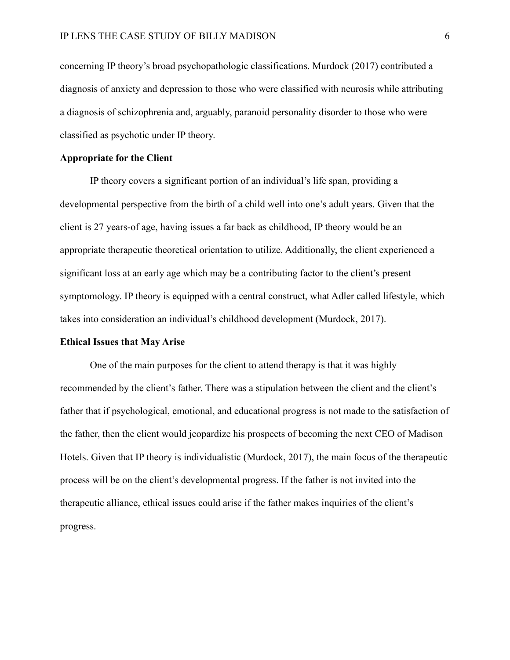concerning IP theory's broad psychopathologic classifications. Murdock (2017) contributed a diagnosis of anxiety and depression to those who were classified with neurosis while attributing a diagnosis of schizophrenia and, arguably, paranoid personality disorder to those who were classified as psychotic under IP theory.

## **Appropriate for the Client**

IP theory covers a significant portion of an individual's life span, providing a developmental perspective from the birth of a child well into one's adult years. Given that the client is 27 years-of age, having issues a far back as childhood, IP theory would be an appropriate therapeutic theoretical orientation to utilize. Additionally, the client experienced a significant loss at an early age which may be a contributing factor to the client's present symptomology. IP theory is equipped with a central construct, what Adler called lifestyle, which takes into consideration an individual's childhood development (Murdock, 2017).

#### **Ethical Issues that May Arise**

One of the main purposes for the client to attend therapy is that it was highly recommended by the client's father. There was a stipulation between the client and the client's father that if psychological, emotional, and educational progress is not made to the satisfaction of the father, then the client would jeopardize his prospects of becoming the next CEO of Madison Hotels. Given that IP theory is individualistic (Murdock, 2017), the main focus of the therapeutic process will be on the client's developmental progress. If the father is not invited into the therapeutic alliance, ethical issues could arise if the father makes inquiries of the client's progress.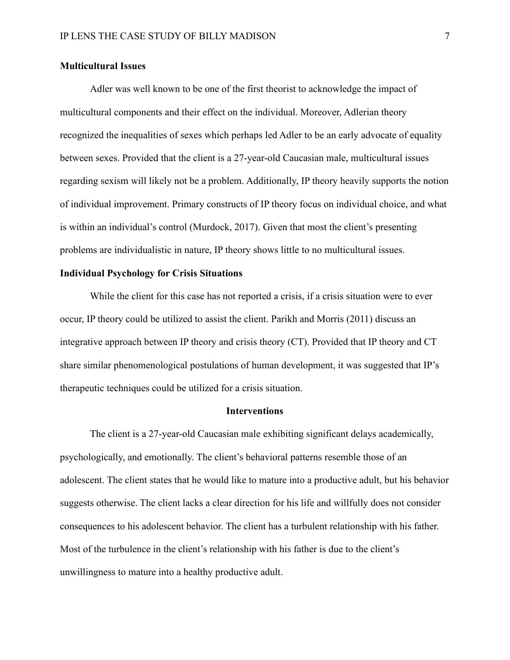## **Multicultural Issues**

Adler was well known to be one of the first theorist to acknowledge the impact of multicultural components and their effect on the individual. Moreover, Adlerian theory recognized the inequalities of sexes which perhaps led Adler to be an early advocate of equality between sexes. Provided that the client is a 27-year-old Caucasian male, multicultural issues regarding sexism will likely not be a problem. Additionally, IP theory heavily supports the notion of individual improvement. Primary constructs of IP theory focus on individual choice, and what is within an individual's control (Murdock, 2017). Given that most the client's presenting problems are individualistic in nature, IP theory shows little to no multicultural issues.

# **Individual Psychology for Crisis Situations**

While the client for this case has not reported a crisis, if a crisis situation were to ever occur, IP theory could be utilized to assist the client. Parikh and Morris (2011) discuss an integrative approach between IP theory and crisis theory (CT). Provided that IP theory and CT share similar phenomenological postulations of human development, it was suggested that IP's therapeutic techniques could be utilized for a crisis situation.

### **Interventions**

The client is a 27-year-old Caucasian male exhibiting significant delays academically, psychologically, and emotionally. The client's behavioral patterns resemble those of an adolescent. The client states that he would like to mature into a productive adult, but his behavior suggests otherwise. The client lacks a clear direction for his life and willfully does not consider consequences to his adolescent behavior. The client has a turbulent relationship with his father. Most of the turbulence in the client's relationship with his father is due to the client's unwillingness to mature into a healthy productive adult.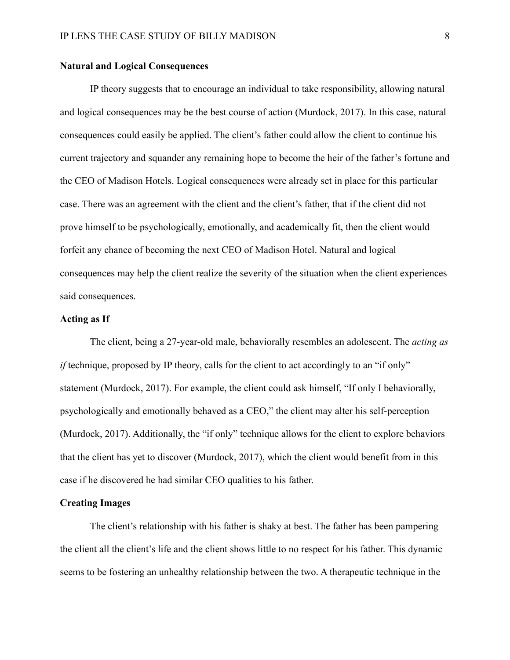## **Natural and Logical Consequences**

IP theory suggests that to encourage an individual to take responsibility, allowing natural and logical consequences may be the best course of action (Murdock, 2017). In this case, natural consequences could easily be applied. The client's father could allow the client to continue his current trajectory and squander any remaining hope to become the heir of the father's fortune and the CEO of Madison Hotels. Logical consequences were already set in place for this particular case. There was an agreement with the client and the client's father, that if the client did not prove himself to be psychologically, emotionally, and academically fit, then the client would forfeit any chance of becoming the next CEO of Madison Hotel. Natural and logical consequences may help the client realize the severity of the situation when the client experiences said consequences.

# **Acting as If**

The client, being a 27-year-old male, behaviorally resembles an adolescent. The *acting as if* technique, proposed by IP theory, calls for the client to act accordingly to an "if only" statement (Murdock, 2017). For example, the client could ask himself, "If only I behaviorally, psychologically and emotionally behaved as a CEO," the client may alter his self-perception (Murdock, 2017). Additionally, the "if only" technique allows for the client to explore behaviors that the client has yet to discover (Murdock, 2017), which the client would benefit from in this case if he discovered he had similar CEO qualities to his father.

## **Creating Images**

The client's relationship with his father is shaky at best. The father has been pampering the client all the client's life and the client shows little to no respect for his father. This dynamic seems to be fostering an unhealthy relationship between the two. A therapeutic technique in the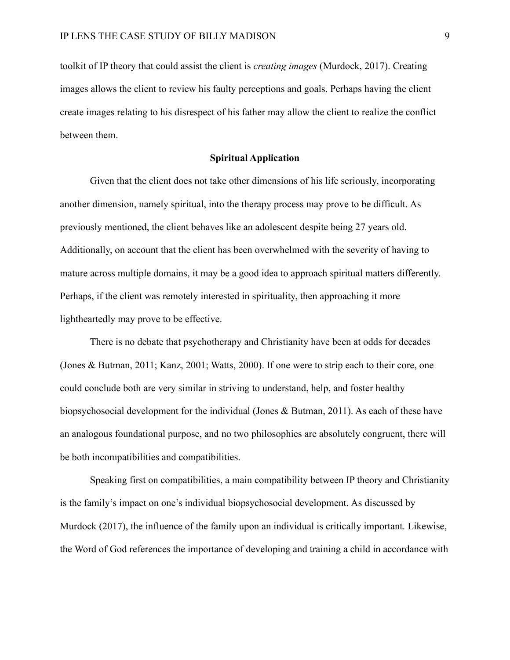toolkit of IP theory that could assist the client is *creating images* (Murdock, 2017). Creating images allows the client to review his faulty perceptions and goals. Perhaps having the client create images relating to his disrespect of his father may allow the client to realize the conflict between them.

### **Spiritual Application**

Given that the client does not take other dimensions of his life seriously, incorporating another dimension, namely spiritual, into the therapy process may prove to be difficult. As previously mentioned, the client behaves like an adolescent despite being 27 years old. Additionally, on account that the client has been overwhelmed with the severity of having to mature across multiple domains, it may be a good idea to approach spiritual matters differently. Perhaps, if the client was remotely interested in spirituality, then approaching it more lightheartedly may prove to be effective.

There is no debate that psychotherapy and Christianity have been at odds for decades (Jones & Butman, 2011; Kanz, 2001; Watts, 2000). If one were to strip each to their core, one could conclude both are very similar in striving to understand, help, and foster healthy biopsychosocial development for the individual (Jones & Butman, 2011). As each of these have an analogous foundational purpose, and no two philosophies are absolutely congruent, there will be both incompatibilities and compatibilities.

Speaking first on compatibilities, a main compatibility between IP theory and Christianity is the family's impact on one's individual biopsychosocial development. As discussed by Murdock (2017), the influence of the family upon an individual is critically important. Likewise, the Word of God references the importance of developing and training a child in accordance with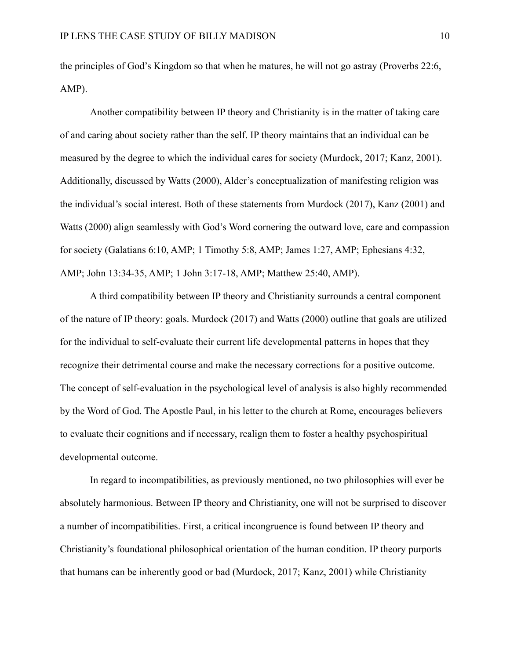the principles of God's Kingdom so that when he matures, he will not go astray (Proverbs 22:6, AMP).

Another compatibility between IP theory and Christianity is in the matter of taking care of and caring about society rather than the self. IP theory maintains that an individual can be measured by the degree to which the individual cares for society (Murdock, 2017; Kanz, 2001). Additionally, discussed by Watts (2000), Alder's conceptualization of manifesting religion was the individual's social interest. Both of these statements from Murdock (2017), Kanz (2001) and Watts (2000) align seamlessly with God's Word cornering the outward love, care and compassion for society (Galatians 6:10, AMP; 1 Timothy 5:8, AMP; James 1:27, AMP; Ephesians 4:32, AMP; John 13:34-35, AMP; 1 John 3:17-18, AMP; Matthew 25:40, AMP).

A third compatibility between IP theory and Christianity surrounds a central component of the nature of IP theory: goals. Murdock (2017) and Watts (2000) outline that goals are utilized for the individual to self-evaluate their current life developmental patterns in hopes that they recognize their detrimental course and make the necessary corrections for a positive outcome. The concept of self-evaluation in the psychological level of analysis is also highly recommended by the Word of God. The Apostle Paul, in his letter to the church at Rome, encourages believers to evaluate their cognitions and if necessary, realign them to foster a healthy psychospiritual developmental outcome.

In regard to incompatibilities, as previously mentioned, no two philosophies will ever be absolutely harmonious. Between IP theory and Christianity, one will not be surprised to discover a number of incompatibilities. First, a critical incongruence is found between IP theory and Christianity's foundational philosophical orientation of the human condition. IP theory purports that humans can be inherently good or bad (Murdock, 2017; Kanz, 2001) while Christianity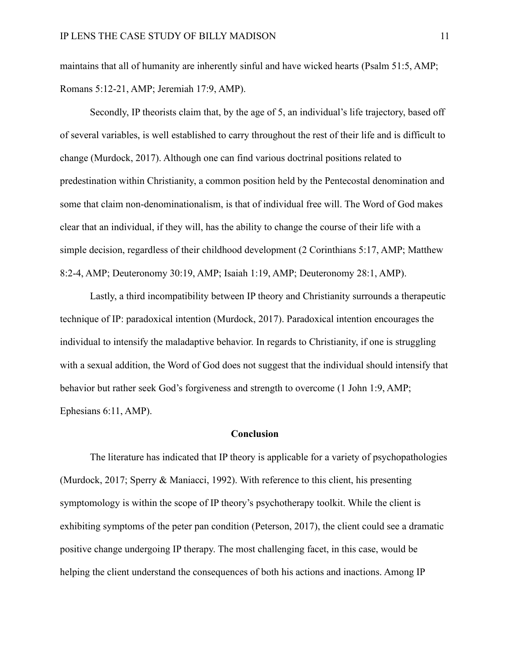maintains that all of humanity are inherently sinful and have wicked hearts (Psalm 51:5, AMP; Romans 5:12-21, AMP; Jeremiah 17:9, AMP).

Secondly, IP theorists claim that, by the age of 5, an individual's life trajectory, based off of several variables, is well established to carry throughout the rest of their life and is difficult to change (Murdock, 2017). Although one can find various doctrinal positions related to predestination within Christianity, a common position held by the Pentecostal denomination and some that claim non-denominationalism, is that of individual free will. The Word of God makes clear that an individual, if they will, has the ability to change the course of their life with a simple decision, regardless of their childhood development (2 Corinthians 5:17, AMP; Matthew 8:2-4, AMP; Deuteronomy 30:19, AMP; Isaiah 1:19, AMP; Deuteronomy 28:1, AMP).

Lastly, a third incompatibility between IP theory and Christianity surrounds a therapeutic technique of IP: paradoxical intention (Murdock, 2017). Paradoxical intention encourages the individual to intensify the maladaptive behavior. In regards to Christianity, if one is struggling with a sexual addition, the Word of God does not suggest that the individual should intensify that behavior but rather seek God's forgiveness and strength to overcome (1 John 1:9, AMP; Ephesians 6:11, AMP).

#### **Conclusion**

The literature has indicated that IP theory is applicable for a variety of psychopathologies (Murdock, 2017; Sperry & Maniacci, 1992). With reference to this client, his presenting symptomology is within the scope of IP theory's psychotherapy toolkit. While the client is exhibiting symptoms of the peter pan condition (Peterson, 2017), the client could see a dramatic positive change undergoing IP therapy. The most challenging facet, in this case, would be helping the client understand the consequences of both his actions and inactions. Among IP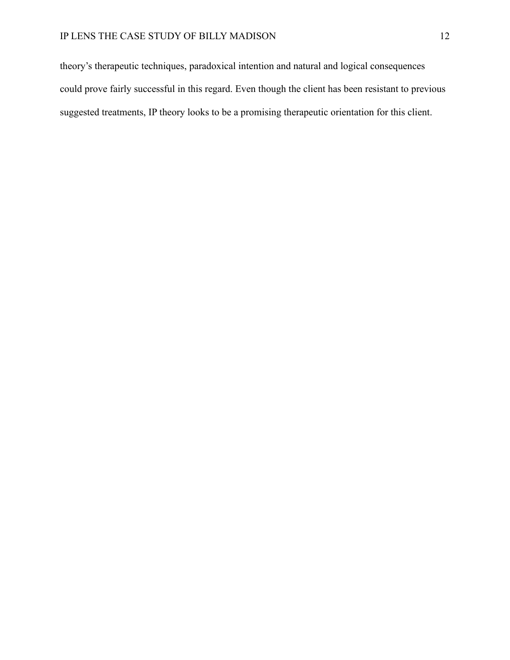theory's therapeutic techniques, paradoxical intention and natural and logical consequences could prove fairly successful in this regard. Even though the client has been resistant to previous suggested treatments, IP theory looks to be a promising therapeutic orientation for this client.